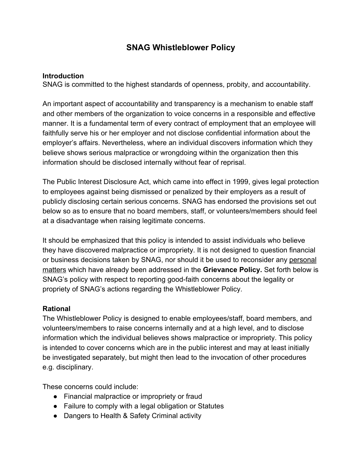# **SNAG Whistleblower Policy**

#### **Introduction**

SNAG is committed to the highest standards of openness, probity, and accountability.

An important aspect of accountability and transparency is a mechanism to enable staff and other members of the organization to voice concerns in a responsible and effective manner. It is a fundamental term of every contract of employment that an employee will faithfully serve his or her employer and not disclose confidential information about the employer's affairs. Nevertheless, where an individual discovers information which they believe shows serious malpractice or wrongdoing within the organization then this information should be disclosed internally without fear of reprisal.

The Public Interest Disclosure Act, which came into effect in 1999, gives legal protection to employees against being dismissed or penalized by their employers as a result of publicly disclosing certain serious concerns. SNAG has endorsed the provisions set out below so as to ensure that no board members, staff, or volunteers/members should feel at a disadvantage when raising legitimate concerns.

It should be emphasized that this policy is intended to assist individuals who believe they have discovered malpractice or impropriety. It is not designed to question financial or business decisions taken by SNAG, nor should it be used to reconsider any personal matters which have already been addressed in the **Grievance Policy.** Set forth below is SNAG's policy with respect to reporting good-faith concerns about the legality or propriety of SNAG's actions regarding the Whistleblower Policy.

## **Rational**

The Whistleblower Policy is designed to enable employees/staff, board members, and volunteers/members to raise concerns internally and at a high level, and to disclose information which the individual believes shows malpractice or impropriety. This policy is intended to cover concerns which are in the public interest and may at least initially be investigated separately, but might then lead to the invocation of other procedures e.g. disciplinary.

These concerns could include:

- Financial malpractice or impropriety or fraud
- Failure to comply with a legal obligation or Statutes
- Dangers to Health & Safety Criminal activity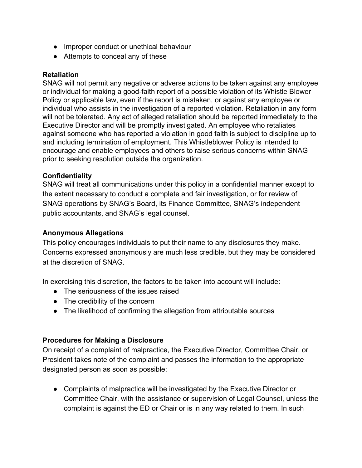- Improper conduct or unethical behaviour
- Attempts to conceal any of these

### **Retaliation**

SNAG will not permit any negative or adverse actions to be taken against any employee or individual for making a good-faith report of a possible violation of its Whistle Blower Policy or applicable law, even if the report is mistaken, or against any employee or individual who assists in the investigation of a reported violation. Retaliation in any form will not be tolerated. Any act of alleged retaliation should be reported immediately to the Executive Director and will be promptly investigated. An employee who retaliates against someone who has reported a violation in good faith is subject to discipline up to and including termination of employment. This Whistleblower Policy is intended to encourage and enable employees and others to raise serious concerns within SNAG prior to seeking resolution outside the organization.

### **Confidentiality**

SNAG will treat all communications under this policy in a confidential manner except to the extent necessary to conduct a complete and fair investigation, or for review of SNAG operations by SNAG's Board, its Finance Committee, SNAG's independent public accountants, and SNAG's legal counsel.

### **Anonymous Allegations**

This policy encourages individuals to put their name to any disclosures they make. Concerns expressed anonymously are much less credible, but they may be considered at the discretion of SNAG.

In exercising this discretion, the factors to be taken into account will include:

- The seriousness of the issues raised
- The credibility of the concern
- The likelihood of confirming the allegation from attributable sources

#### **Procedures for Making a Disclosure**

On receipt of a complaint of malpractice, the Executive Director, Committee Chair, or President takes note of the complaint and passes the information to the appropriate designated person as soon as possible:

● Complaints of malpractice will be investigated by the Executive Director or Committee Chair, with the assistance or supervision of Legal Counsel, unless the complaint is against the ED or Chair or is in any way related to them. In such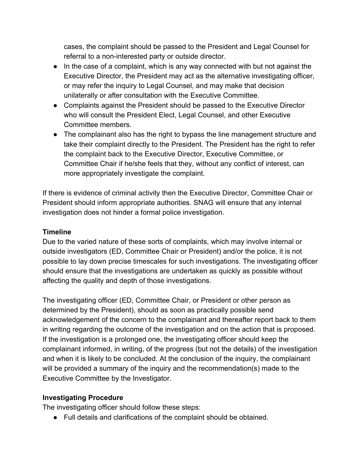cases, the complaint should be passed to the President and Legal Counsel for referral to a non-interested party or outside director.

- In the case of a complaint, which is any way connected with but not against the Executive Director, the President may act as the alternative investigating officer, or may refer the inquiry to Legal Counsel, and may make that decision unilaterally or after consultation with the Executive Committee.
- Complaints against the President should be passed to the Executive Director who will consult the President Elect, Legal Counsel, and other Executive Committee members.
- The complainant also has the right to bypass the line management structure and take their complaint directly to the President. The President has the right to refer the complaint back to the Executive Director, Executive Committee, or Committee Chair if he/she feels that they, without any conflict of interest, can more appropriately investigate the complaint.

If there is evidence of criminal activity then the Executive Director, Committee Chair or President should inform appropriate authorities. SNAG will ensure that any internal investigation does not hinder a formal police investigation.

# **Timeline**

Due to the varied nature of these sorts of complaints, which may involve internal or outside investigators (ED, Committee Chair or President) and/or the police, it is not possible to lay down precise timescales for such investigations. The investigating officer should ensure that the investigations are undertaken as quickly as possible without affecting the quality and depth of those investigations.

The investigating officer (ED, Committee Chair, or President or other person as determined by the President), should as soon as practically possible send acknowledgement of the concern to the complainant and thereafter report back to them in writing regarding the outcome of the investigation and on the action that is proposed. If the investigation is a prolonged one, the investigating officer should keep the complainant informed, in writing, of the progress (but not the details) of the investigation and when it is likely to be concluded. At the conclusion of the inquiry, the complainant will be provided a summary of the inquiry and the recommendation(s) made to the Executive Committee by the Investigator.

## **Investigating Procedure**

The investigating officer should follow these steps:

● Full details and clarifications of the complaint should be obtained.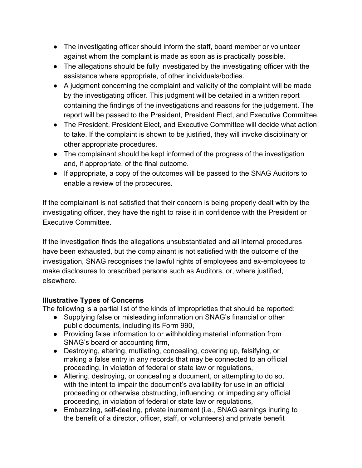- The investigating officer should inform the staff, board member or volunteer against whom the complaint is made as soon as is practically possible.
- The allegations should be fully investigated by the investigating officer with the assistance where appropriate, of other individuals/bodies.
- A judgment concerning the complaint and validity of the complaint will be made by the investigating officer. This judgment will be detailed in a written report containing the findings of the investigations and reasons for the judgement. The report will be passed to the President, President Elect, and Executive Committee.
- The President, President Elect, and Executive Committee will decide what action to take. If the complaint is shown to be justified, they will invoke disciplinary or other appropriate procedures.
- The complainant should be kept informed of the progress of the investigation and, if appropriate, of the final outcome.
- If appropriate, a copy of the outcomes will be passed to the SNAG Auditors to enable a review of the procedures.

If the complainant is not satisfied that their concern is being properly dealt with by the investigating officer, they have the right to raise it in confidence with the President or Executive Committee.

If the investigation finds the allegations unsubstantiated and all internal procedures have been exhausted, but the complainant is not satisfied with the outcome of the investigation, SNAG recognises the lawful rights of employees and ex-employees to make disclosures to prescribed persons such as Auditors, or, where justified, elsewhere.

# **Illustrative Types of Concerns**

The following is a partial list of the kinds of improprieties that should be reported:

- Supplying false or misleading information on SNAG's financial or other public documents, including its Form 990,
- Providing false information to or withholding material information from SNAG's board or accounting firm,
- Destroying, altering, mutilating, concealing, covering up, falsifying, or making a false entry in any records that may be connected to an official proceeding, in violation of federal or state law or regulations,
- Altering, destroying, or concealing a document, or attempting to do so, with the intent to impair the document's availability for use in an official proceeding or otherwise obstructing, influencing, or impeding any official proceeding, in violation of federal or state law or regulations,
- Embezzling, self-dealing, private inurement (i.e., SNAG earnings inuring to the benefit of a director, officer, staff, or volunteers) and private benefit